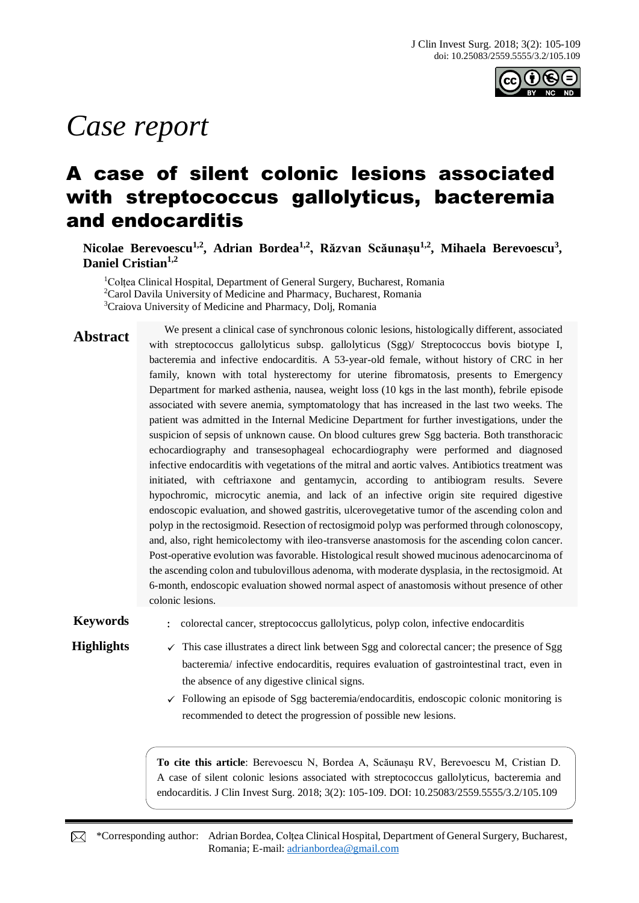

# *Case report*

## A case of silent colonic lesions associated with streptococcus gallolyticus, bacteremia and endocarditis

**Nicolae Berevoescu1,2, Adrian Bordea1,2, Răzvan Scăunașu1,2, Mihaela Berevoescu<sup>3</sup> , Daniel Cristian1,2**

<sup>1</sup>Coltea Clinical Hospital, Department of General Surgery, Bucharest, Romania <sup>2</sup>Carol Davila University of Medicine and Pharmacy, Bucharest, Romania <sup>3</sup>Craiova University of Medicine and Pharmacy, Dolj, Romania

**Abstract** We present a clinical case of synchronous colonic lesions, histologically different, associated with streptococcus gallolyticus subsp. gallolyticus (Sgg)/ Streptococcus bovis biotype I, bacteremia and infective endocarditis. A 53-year-old female, without history of CRC in her family, known with total hysterectomy for uterine fibromatosis, presents to Emergency Department for marked asthenia, nausea, weight loss (10 kgs in the last month), febrile episode associated with severe anemia, symptomatology that has increased in the last two weeks. The patient was admitted in the Internal Medicine Department for further investigations, under the suspicion of sepsis of unknown cause. On blood cultures grew Sgg bacteria. Both transthoracic echocardiography and transesophageal echocardiography were performed and diagnosed infective endocarditis with vegetations of the mitral and aortic valves. Antibiotics treatment was initiated, with ceftriaxone and gentamycin, according to antibiogram results. Severe hypochromic, microcytic anemia, and lack of an infective origin site required digestive endoscopic evaluation, and showed gastritis, ulcerovegetative tumor of the ascending colon and polyp in the rectosigmoid. Resection of rectosigmoid polyp was performed through colonoscopy, and, also, right hemicolectomy with ileo-transverse anastomosis for the ascending colon cancer. Post-operative evolution was favorable. Histological result showed mucinous adenocarcinoma of the ascending colon and tubulovillous adenoma, with moderate dysplasia, in the rectosigmoid. At 6-month, endoscopic evaluation showed normal aspect of anastomosis without presence of other colonic lesions.

**Keywords** : colorectal cancer, streptococcus gallolyticus, polyp colon, infective endocarditis

- **Highlights**  $\checkmark$  This case illustrates a direct link between Sgg and colorectal cancer; the presence of Sgg bacteremia/ infective endocarditis, requires evaluation of gastrointestinal tract, even in the absence of any digestive clinical signs.
	- $\checkmark$  Following an episode of Sgg bacteremia/endocarditis, endoscopic colonic monitoring is recommended to detect the progression of possible new lesions.

**To cite this article**: Berevoescu N, Bordea A, Scăunașu RV, Berevoescu M, Cristian D. A case of silent colonic lesions associated with streptococcus gallolyticus, bacteremia and endocarditis. J Clin Invest Surg. 2018; 3(2): 105-109. DOI: 10.25083/2559.5555/3.2/105.109

\*Corresponding author: Adrian Bordea, Colțea Clinical Hospital, Department of General Surgery, Bucharest, Romania; E-mail: [adrianbordea@gmail.com](mailto:adrianbordea@gmail.com)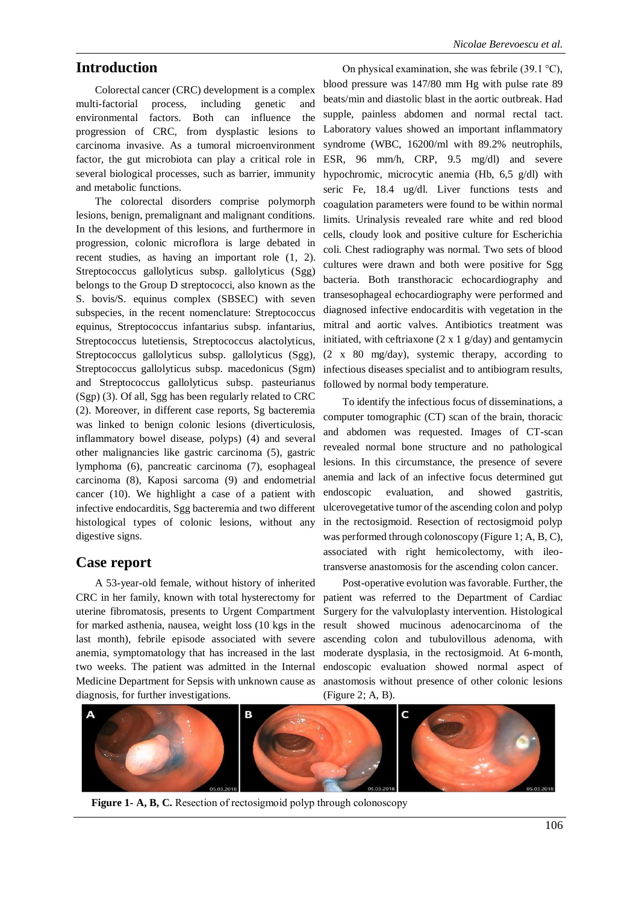#### **Introduction**

Colorectal cancer (CRC) development is a complex multi-factorial process, including genetic and environmental factors. Both can influence the progression of CRC, from dysplastic lesions to carcinoma invasive. As a tumoral microenvironment factor, the gut microbiota can play a critical role in several biological processes, such as barrier, immunity and metabolic functions.

The colorectal disorders comprise polymorph lesions, benign, premalignant and malignant conditions. In the development of this lesions, and furthermore in progression, colonic microflora is large debated in recent studies, as having an important role (1, 2). Streptococcus gallolyticus subsp. gallolyticus (Sgg) belongs to the Group D streptococci, also known as the S. bovis/S. equinus complex (SBSEC) with seven subspecies, in the recent nomenclature: Streptococcus equinus, Streptococcus infantarius subsp. infantarius, Streptococcus lutetiensis, Streptococcus alactolyticus, Streptococcus gallolyticus subsp. gallolyticus (Sgg), Streptococcus gallolyticus subsp. macedonicus (Sgm) and Streptococcus gallolyticus subsp. pasteurianus (Sgp) (3). Of all, Sgg has been regularly related to CRC (2). Moreover, in different case reports, Sg bacteremia was linked to benign colonic lesions (diverticulosis, inflammatory bowel disease, polyps) (4) and several other malignancies like gastric carcinoma (5), gastric lymphoma (6), pancreatic carcinoma (7), esophageal carcinoma (8), Kaposi sarcoma (9) and endometrial cancer (10). We highlight a case of a patient with infective endocarditis, Sgg bacteremia and two different histological types of colonic lesions, without any digestive signs.

#### **Case report**

A 53-year-old female, without history of inherited CRC in her family, known with total hysterectomy for uterine fibromatosis, presents to Urgent Compartment for marked asthenia, nausea, weight loss (10 kgs in the last month), febrile episode associated with severe anemia, symptomatology that has increased in the last two weeks. The patient was admitted in the Internal Medicine Department for Sepsis with unknown cause as diagnosis, for further investigations.

On physical examination, she was febrile (39.1 °C), blood pressure was 147/80 mm Hg with pulse rate 89 beats/min and diastolic blast in the aortic outbreak. Had supple, painless abdomen and normal rectal tact. Laboratory values showed an important inflammatory syndrome (WBC, 16200/ml with 89.2% neutrophils, ESR, 96 mm/h, CRP, 9.5 mg/dl) and severe hypochromic, microcytic anemia (Hb, 6,5 g/dl) with seric Fe, 18.4 ug/dl. Liver functions tests and coagulation parameters were found to be within normal limits. Urinalysis revealed rare white and red blood cells, cloudy look and positive culture for Escherichia coli. Chest radiography was normal. Two sets of blood cultures were drawn and both were positive for Sgg bacteria. Both transthoracic echocardiography and transesophageal echocardiography were performed and diagnosed infective endocarditis with vegetation in the mitral and aortic valves. Antibiotics treatment was initiated, with ceftriaxone  $(2 \times 1 \text{ g/day})$  and gentamycin (2 x 80 mg/day), systemic therapy, according to infectious diseases specialist and to antibiogram results, followed by normal body temperature.

To identify the infectious focus of disseminations, a computer tomographic (CT) scan of the brain, thoracic and abdomen was requested. Images of CT-scan revealed normal bone structure and no pathological lesions. In this circumstance, the presence of severe anemia and lack of an infective focus determined gut endoscopic evaluation, and showed gastritis, ulcerovegetative tumor of the ascending colon and polyp in the rectosigmoid. Resection of rectosigmoid polyp was performed through colonoscopy (Figure 1; A, B, C), associated with right hemicolectomy, with ileotransverse anastomosis for the ascending colon cancer.

Post-operative evolution was favorable. Further, the patient was referred to the Department of Cardiac Surgery for the valvuloplasty intervention. Histological result showed mucinous adenocarcinoma of the ascending colon and tubulovillous adenoma, with moderate dysplasia, in the rectosigmoid. At 6-month, endoscopic evaluation showed normal aspect of anastomosis without presence of other colonic lesions (Figure 2; A, B).



**Figure 1- A, B, C.** Resection of rectosigmoid polyp through colonoscopy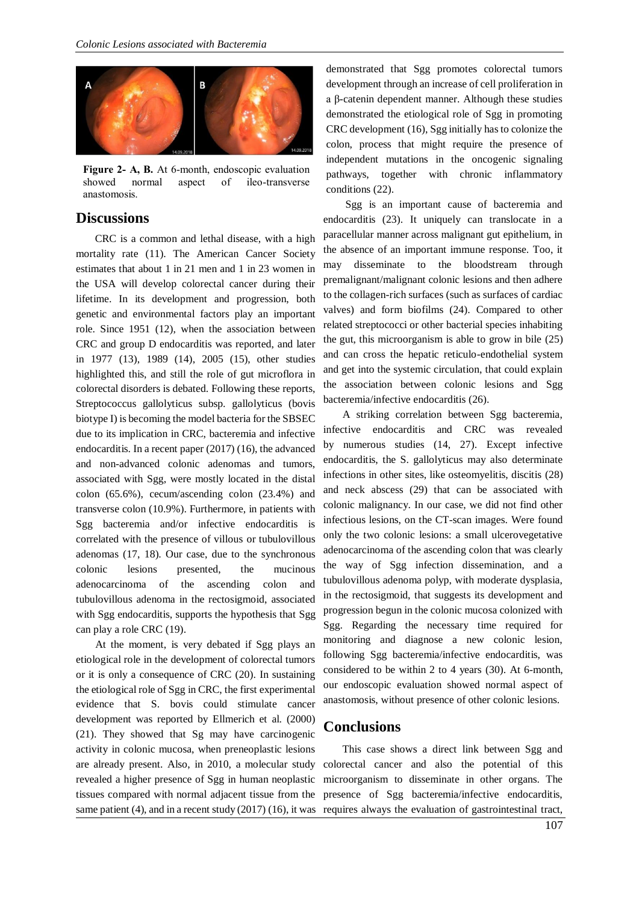

**Figure 2- A, B.** At 6-month, endoscopic evaluation showed normal aspect of ileo-transverse anastomosis.

#### **Discussions**

CRC is a common and lethal disease, with a high mortality rate (11). The American Cancer Society estimates that about 1 in 21 men and 1 in 23 women in the USA will develop colorectal cancer during their lifetime. In its development and progression, both genetic and environmental factors play an important role. Since 1951 (12), when the association between CRC and group D endocarditis was reported, and later in 1977 (13), 1989 (14), 2005 (15), other studies highlighted this, and still the role of gut microflora in colorectal disorders is debated. Following these reports, Streptococcus gallolyticus subsp. gallolyticus (bovis biotype I) is becoming the model bacteria for the SBSEC due to its implication in CRC, bacteremia and infective endocarditis. In a recent paper (2017) (16), the advanced and non-advanced colonic adenomas and tumors, associated with Sgg, were mostly located in the distal colon (65.6%), cecum/ascending colon (23.4%) and transverse colon (10.9%). Furthermore, in patients with Sgg bacteremia and/or infective endocarditis is correlated with the presence of villous or tubulovillous adenomas (17, 18). Our case, due to the synchronous colonic lesions presented, the mucinous adenocarcinoma of the ascending colon and tubulovillous adenoma in the rectosigmoid, associated with Sgg endocarditis, supports the hypothesis that Sgg can play a role CRC (19).

At the moment, is very debated if Sgg plays an etiological role in the development of colorectal tumors or it is only a consequence of CRC (20). In sustaining the etiological role of Sgg in CRC, the first experimental evidence that S. bovis could stimulate cancer development was reported by Ellmerich et al. (2000) (21). They showed that Sg may have carcinogenic activity in colonic mucosa, when preneoplastic lesions are already present. Also, in 2010, a molecular study revealed a higher presence of Sgg in human neoplastic tissues compared with normal adjacent tissue from the demonstrated that Sgg promotes colorectal tumors development through an increase of cell proliferation in a β-catenin dependent manner. Although these studies demonstrated the etiological role of Sgg in promoting CRC development (16), Sgg initially has to colonize the colon, process that might require the presence of independent mutations in the oncogenic signaling pathways, together with chronic inflammatory conditions (22).

Sgg is an important cause of bacteremia and endocarditis (23). It uniquely can translocate in a paracellular manner across malignant gut epithelium, in the absence of an important immune response. Too, it may disseminate to the bloodstream through premalignant/malignant colonic lesions and then adhere to the collagen-rich surfaces (such as surfaces of cardiac valves) and form biofilms (24). Compared to other related streptococci or other bacterial species inhabiting the gut, this microorganism is able to grow in bile (25) and can cross the hepatic reticulo-endothelial system and get into the systemic circulation, that could explain the association between colonic lesions and Sgg bacteremia/infective endocarditis (26).

A striking correlation between Sgg bacteremia, infective endocarditis and CRC was revealed by numerous studies (14, 27). Except infective endocarditis, the S. gallolyticus may also determinate infections in other sites, like osteomyelitis, discitis (28) and neck abscess (29) that can be associated with colonic malignancy. In our case, we did not find other infectious lesions, on the CT-scan images. Were found only the two colonic lesions: a small ulcerovegetative adenocarcinoma of the ascending colon that was clearly the way of Sgg infection dissemination, and a tubulovillous adenoma polyp, with moderate dysplasia, in the rectosigmoid, that suggests its development and progression begun in the colonic mucosa colonized with Sgg. Regarding the necessary time required for monitoring and diagnose a new colonic lesion, following Sgg bacteremia/infective endocarditis, was considered to be within 2 to 4 years (30). At 6-month, our endoscopic evaluation showed normal aspect of anastomosis, without presence of other colonic lesions.

#### **Conclusions**

same patient (4), and in a recent study (2017) (16), it was requires always the evaluation of gastrointestinal tract, This case shows a direct link between Sgg and colorectal cancer and also the potential of this microorganism to disseminate in other organs. The presence of Sgg bacteremia/infective endocarditis,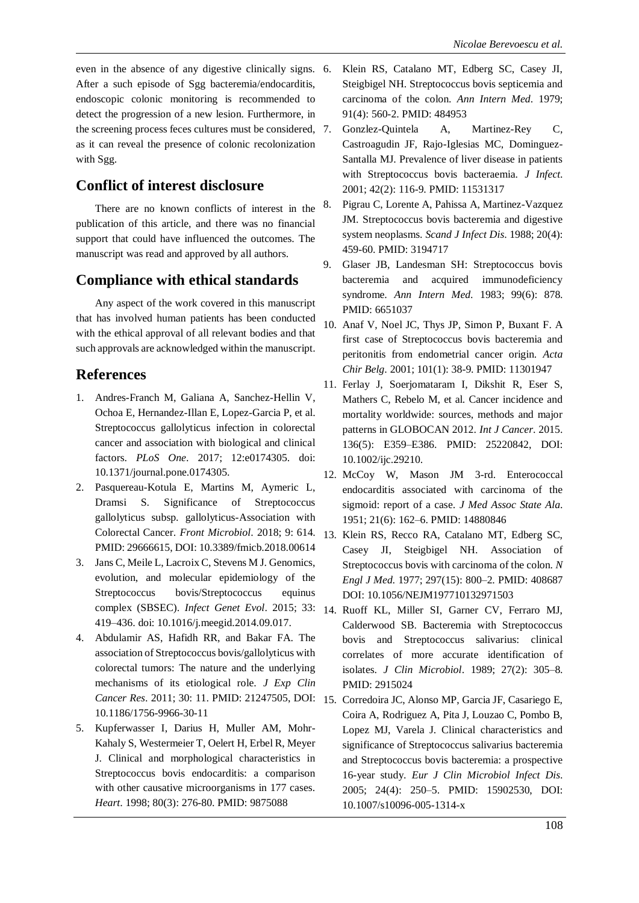even in the absence of any digestive clinically signs. 6. After a such episode of Sgg bacteremia/endocarditis, endoscopic colonic monitoring is recommended to detect the progression of a new lesion. Furthermore, in the screening process feces cultures must be considered, 7. as it can reveal the presence of colonic recolonization with Sgg.

### **Conflict of interest disclosure**

There are no known conflicts of interest in the publication of this article, and there was no financial support that could have influenced the outcomes. The manuscript was read and approved by all authors.

### **Compliance with ethical standards**

Any aspect of the work covered in this manuscript that has involved human patients has been conducted with the ethical approval of all relevant bodies and that such approvals are acknowledged within the manuscript.

### **References**

- 1. Andres-Franch M, Galiana A, Sanchez-Hellin V, Ochoa E, Hernandez-Illan E, Lopez-Garcia P, et al. Streptococcus gallolyticus infection in colorectal cancer and association with biological and clinical factors. *PLoS One*. 2017; 12:e0174305. doi: 10.1371/journal.pone.0174305.
- 2. Pasquereau-Kotula E, Martins M, Aymeric L, Dramsi S. Significance of Streptococcus gallolyticus subsp. gallolyticus-Association with Colorectal Cancer. *Front Microbiol*. 2018; 9: 614. PMID: 29666615, DOI: 10.3389/fmicb.2018.00614
- 3. Jans C, Meile L, Lacroix C, Stevens M J. Genomics, evolution, and molecular epidemiology of the Streptococcus bovis/Streptococcus equinus complex (SBSEC). *Infect Genet Evol*. 2015; 33: 14. Ruoff KL, Miller SI, Garner CV, Ferraro MJ, 419–436. doi: 10.1016/j.meegid.2014.09.017.
- 4. Abdulamir AS, Hafidh RR, and Bakar FA. The association of Streptococcus bovis/gallolyticus with colorectal tumors: The nature and the underlying mechanisms of its etiological role. *J Exp Clin Cancer Res*. 2011; 30: 11. PMID: 21247505, DOI: 10.1186/1756-9966-30-11
- 5. Kupferwasser I, Darius H, Muller AM, Mohr-Kahaly S, Westermeier T, Oelert H, Erbel R, Meyer J. Clinical and morphological characteristics in Streptococcus bovis endocarditis: a comparison with other causative microorganisms in 177 cases. *Heart*. 1998; 80(3): 276-80. PMID: 9875088
- 6. Klein RS, Catalano MT, Edberg SC, Casey JI, Steigbigel NH. Streptococcus bovis septicemia and carcinoma of the colon. *Ann Intern Med*. 1979; 91(4): 560-2. PMID: 484953
- 7. Gonzlez-Quintela A, Martinez-Rey C, Castroagudin JF, Rajo-Iglesias MC, Dominguez-Santalla MJ. Prevalence of liver disease in patients with Streptococcus bovis bacteraemia. *J Infect*. 2001; 42(2): 116-9. PMID: 11531317
- 8. Pigrau C, Lorente A, Pahissa A, Martinez-Vazquez JM. Streptococcus bovis bacteremia and digestive system neoplasms. *Scand J Infect Dis*. 1988; 20(4): 459-60. PMID: 3194717
- 9. Glaser JB, Landesman SH: Streptococcus bovis bacteremia and acquired immunodeficiency syndrome. *Ann Intern Med*. 1983; 99(6): 878. PMID: 6651037
- 10. Anaf V, Noel JC, Thys JP, Simon P, Buxant F. A first case of Streptococcus bovis bacteremia and peritonitis from endometrial cancer origin. *Acta Chir Belg*. 2001; 101(1): 38-9. PMID: 11301947
- 11. Ferlay J, Soerjomataram I, Dikshit R, Eser S, Mathers C, Rebelo M, et al. Cancer incidence and mortality worldwide: sources, methods and major patterns in GLOBOCAN 2012. *Int J Cancer*. 2015. 136(5): E359–E386. PMID: 25220842, DOI: 10.1002/ijc.29210.
- 12. McCoy W, Mason JM 3-rd. Enterococcal endocarditis associated with carcinoma of the sigmoid: report of a case. *J Med Assoc State Ala*. 1951; 21(6): 162–6. PMID: 14880846
- 13. Klein RS, Recco RA, Catalano MT, Edberg SC, Casey JI, Steigbigel NH. Association of Streptococcus bovis with carcinoma of the colon. *N Engl J Med*. 1977; 297(15): 800–2. PMID: 408687 DOI: 10.1056/NEJM197710132971503
- Calderwood SB. Bacteremia with Streptococcus bovis and Streptococcus salivarius: clinical correlates of more accurate identification of isolates. *J Clin Microbiol*. 1989; 27(2): 305–8. PMID: 2915024
- 15. Corredoira JC, Alonso MP, Garcia JF, Casariego E, Coira A, Rodriguez A, Pita J, Louzao C, Pombo B, Lopez MJ, Varela J. Clinical characteristics and significance of Streptococcus salivarius bacteremia and Streptococcus bovis bacteremia: a prospective 16-year study. *Eur J Clin Microbiol Infect Dis*. 2005; 24(4): 250–5. PMID: 15902530, DOI: 10.1007/s10096-005-1314-x